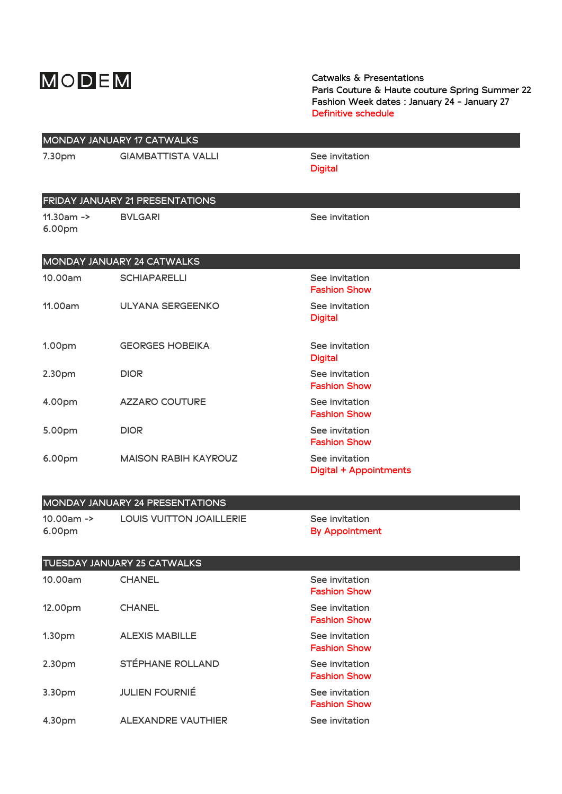# MODEM

Catwalks & Presentations **Paris Couture & Haute couture Spring Summer 22** Fashion Week dates : January 24 - January 27 **Definitive schedule**

|                         | MONDAY JANUARY 17 CATWALKS      |                                                 |  |
|-------------------------|---------------------------------|-------------------------------------------------|--|
| 7.30pm                  | <b>GIAMBATTISTA VALLI</b>       | See invitation<br><b>Digital</b>                |  |
|                         | FRIDAY JANUARY 21 PRESENTATIONS |                                                 |  |
| $11.30$ am -><br>6.00pm | <b>BVLGARI</b>                  | See invitation                                  |  |
|                         | MONDAY JANUARY 24 CATWALKS      |                                                 |  |
| 10.00am                 | <b>SCHIAPARELLI</b>             | See invitation<br><b>Fashion Show</b>           |  |
| 11.00am                 | <b>ULYANA SERGEENKO</b>         | See invitation<br><b>Digital</b>                |  |
| 1.00pm                  | <b>GEORGES HOBEIKA</b>          | See invitation<br><b>Digital</b>                |  |
| 2.30pm                  | <b>DIOR</b>                     | See invitation<br><b>Fashion Show</b>           |  |
| 4.00pm                  | <b>AZZARO COUTURE</b>           | See invitation<br><b>Fashion Show</b>           |  |
| 5.00pm                  | <b>DIOR</b>                     | See invitation<br><b>Fashion Show</b>           |  |
| 6.00pm                  | <b>MAISON RABIH KAYROUZ</b>     | See invitation<br><b>Digital + Appointments</b> |  |
|                         | MONDAY JANUARY 24 PRESENTATIONS |                                                 |  |
| $10.00am -$<br>6.00pm   | <b>LOUIS VUITTON JOAILLERIE</b> | See invitation<br><b>By Appointment</b>         |  |
|                         | TUESDAY JANUARY 25 CATWALKS     |                                                 |  |
| 10.00am                 | <b>CHANEL</b>                   | See invitation<br><b>Fashion Show</b>           |  |
| 12.00pm                 | <b>CHANEL</b>                   | See invitation<br><b>Fashion Show</b>           |  |
| 1.30pm                  | <b>ALEXIS MABILLE</b>           | See invitation<br><b>Fashion Show</b>           |  |
| 2.30pm                  | STÉPHANE ROLLAND                | See invitation<br><b>Fashion Show</b>           |  |
| 3.30pm                  | <b>JULIEN FOURNIÉ</b>           | See invitation<br><b>Fashion Show</b>           |  |
| 4.30pm                  | ALEXANDRE VAUTHIER              | See invitation                                  |  |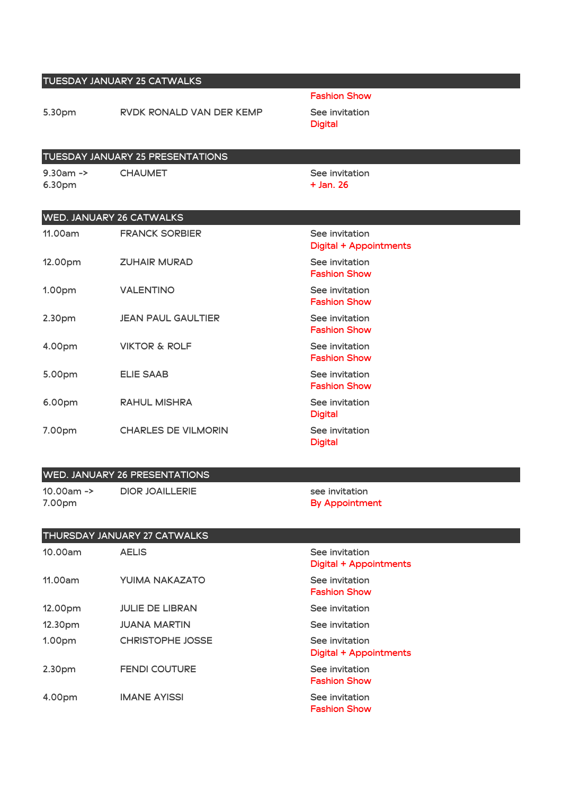### TUESDAY JANUARY 25 CATWALKS

5.30pm **RVDK RONALD VAN DER KEMP** See invitation

#### Fashion Show

**Digital** 

# TUESDAY JANUARY 25 PRESENTATIONS

9.30am -> 6.30pm

**CHAUMET** See invitation + Jan. 26

## WED. JANIJARY 26 CATWALKS

| $\cdots$ = $\cdots$ , $\cdots$ , $\cdots$ , $\cdots$ , $\cdots$ , $\cdots$ , $\cdots$ |                            |                                          |
|---------------------------------------------------------------------------------------|----------------------------|------------------------------------------|
| 11.00am                                                                               | <b>FRANCK SORBIER</b>      | See invitation<br>Digital + Appointments |
| 12.00pm                                                                               | <b>ZUHAIR MURAD</b>        | See invitation<br><b>Fashion Show</b>    |
| 1.00pm                                                                                | <b>VALENTINO</b>           | See invitation<br><b>Fashion Show</b>    |
| 2.30pm                                                                                | <b>JEAN PAUL GAULTIER</b>  | See invitation<br><b>Fashion Show</b>    |
| 4.00pm                                                                                | <b>VIKTOR &amp; ROLF</b>   | See invitation<br><b>Fashion Show</b>    |
| 5.00pm                                                                                | <b>ELIE SAAB</b>           | See invitation<br><b>Fashion Show</b>    |
| 6.00pm                                                                                | <b>RAHUL MISHRA</b>        | See invitation<br><b>Digital</b>         |
| 7.00pm                                                                                | <b>CHARLES DE VILMORIN</b> | See invitation<br><b>Digital</b>         |

#### WED. JANUARY 26 PRESENTATIONS

10.00am -> 7.00pm

**DIOR JOAILLERIE** see invitation By Appointment

## THURSDAY JANUARY 27 CATWALKS 10.00am AELIS and AELIS and the second of the second see invitation Digital + Appointments 11.00am **YUIMA NAKAZATO** See invitation Fashion Show 12.00pm **JULIE DE LIBRAN** See invitation 12.30pm **JUANA MARTIN** See invitation 1.00pm CHRISTOPHE JOSSE See invitation Digital + Appointments 2.30pm **FENDI COUTURE** See invitation Fashion Show 4.00pm **IMANE AYISSI** See invitation Fashion Show